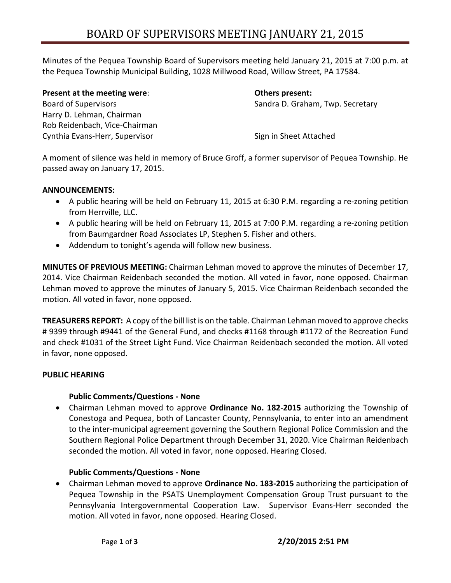Minutes of the Pequea Township Board of Supervisors meeting held January 21, 2015 at 7:00 p.m. at the Pequea Township Municipal Building, 1028 Millwood Road, Willow Street, PA 17584.

**Present at the meeting were**: **Others present:** Board of Supervisors Sandra D. Graham, Twp. Secretary Harry D. Lehman, Chairman Rob Reidenbach, Vice-Chairman Cynthia Evans-Herr, Supervisor Supervisor Sign in Sheet Attached

A moment of silence was held in memory of Bruce Groff, a former supervisor of Pequea Township. He passed away on January 17, 2015.

# **ANNOUNCEMENTS:**

- A public hearing will be held on February 11, 2015 at 6:30 P.M. regarding a re-zoning petition from Herrville, LLC.
- A public hearing will be held on February 11, 2015 at 7:00 P.M. regarding a re-zoning petition from Baumgardner Road Associates LP, Stephen S. Fisher and others.
- Addendum to tonight's agenda will follow new business.

**MINUTES OF PREVIOUS MEETING:** Chairman Lehman moved to approve the minutes of December 17, 2014. Vice Chairman Reidenbach seconded the motion. All voted in favor, none opposed. Chairman Lehman moved to approve the minutes of January 5, 2015. Vice Chairman Reidenbach seconded the motion. All voted in favor, none opposed.

**TREASURERS REPORT:** A copy of the bill list is on the table. Chairman Lehman moved to approve checks # 9399 through #9441 of the General Fund, and checks #1168 through #1172 of the Recreation Fund and check #1031 of the Street Light Fund. Vice Chairman Reidenbach seconded the motion. All voted in favor, none opposed.

# **PUBLIC HEARING**

## **Public Comments/Questions - None**

 Chairman Lehman moved to approve **Ordinance No. 182-2015** authorizing the Township of Conestoga and Pequea, both of Lancaster County, Pennsylvania, to enter into an amendment to the inter-municipal agreement governing the Southern Regional Police Commission and the Southern Regional Police Department through December 31, 2020. Vice Chairman Reidenbach seconded the motion. All voted in favor, none opposed. Hearing Closed.

# **Public Comments/Questions - None**

 Chairman Lehman moved to approve **Ordinance No. 183-2015** authorizing the participation of Pequea Township in the PSATS Unemployment Compensation Group Trust pursuant to the Pennsylvania Intergovernmental Cooperation Law. Supervisor Evans-Herr seconded the motion. All voted in favor, none opposed. Hearing Closed.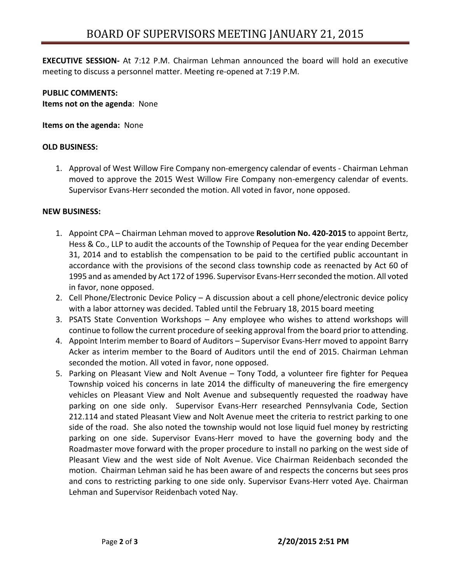**EXECUTIVE SESSION-** At 7:12 P.M. Chairman Lehman announced the board will hold an executive meeting to discuss a personnel matter. Meeting re-opened at 7:19 P.M.

**PUBLIC COMMENTS: Items not on the agenda**: None

**Items on the agenda:** None

## **OLD BUSINESS:**

1. Approval of West Willow Fire Company non-emergency calendar of events - Chairman Lehman moved to approve the 2015 West Willow Fire Company non-emergency calendar of events. Supervisor Evans-Herr seconded the motion. All voted in favor, none opposed.

## **NEW BUSINESS:**

- 1. Appoint CPA Chairman Lehman moved to approve **Resolution No. 420-2015** to appoint Bertz, Hess & Co., LLP to audit the accounts of the Township of Pequea for the year ending December 31, 2014 and to establish the compensation to be paid to the certified public accountant in accordance with the provisions of the second class township code as reenacted by Act 60 of 1995 and as amended by Act 172 of 1996. Supervisor Evans-Herr seconded the motion. All voted in favor, none opposed.
- 2. Cell Phone/Electronic Device Policy A discussion about a cell phone/electronic device policy with a labor attorney was decided. Tabled until the February 18, 2015 board meeting
- 3. PSATS State Convention Workshops Any employee who wishes to attend workshops will continue to follow the current procedure of seeking approval from the board prior to attending.
- 4. Appoint Interim member to Board of Auditors Supervisor Evans-Herr moved to appoint Barry Acker as interim member to the Board of Auditors until the end of 2015. Chairman Lehman seconded the motion. All voted in favor, none opposed.
- 5. Parking on Pleasant View and Nolt Avenue Tony Todd, a volunteer fire fighter for Pequea Township voiced his concerns in late 2014 the difficulty of maneuvering the fire emergency vehicles on Pleasant View and Nolt Avenue and subsequently requested the roadway have parking on one side only. Supervisor Evans-Herr researched Pennsylvania Code, Section 212.114 and stated Pleasant View and Nolt Avenue meet the criteria to restrict parking to one side of the road. She also noted the township would not lose liquid fuel money by restricting parking on one side. Supervisor Evans-Herr moved to have the governing body and the Roadmaster move forward with the proper procedure to install no parking on the west side of Pleasant View and the west side of Nolt Avenue. Vice Chairman Reidenbach seconded the motion. Chairman Lehman said he has been aware of and respects the concerns but sees pros and cons to restricting parking to one side only. Supervisor Evans-Herr voted Aye. Chairman Lehman and Supervisor Reidenbach voted Nay.